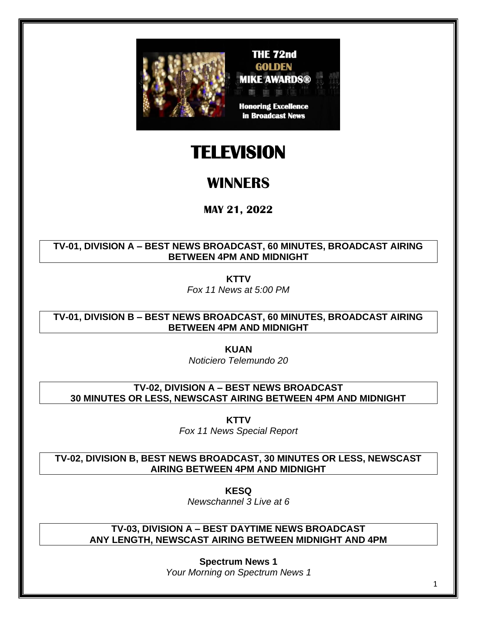

## **TELEVISION**

### **WINNERS**

**MAY 21, 2022**

**TV-01, DIVISION A – BEST NEWS BROADCAST, 60 MINUTES, BROADCAST AIRING BETWEEN 4PM AND MIDNIGHT**

**KTTV**

*Fox 11 News at 5:00 PM*

**TV-01, DIVISION B – BEST NEWS BROADCAST, 60 MINUTES, BROADCAST AIRING BETWEEN 4PM AND MIDNIGHT**

**KUAN**

*Noticiero Telemundo 20*

**TV-02, DIVISION A – BEST NEWS BROADCAST 30 MINUTES OR LESS, NEWSCAST AIRING BETWEEN 4PM AND MIDNIGHT**

**KTTV**

*Fox 11 News Special Report*

**TV-02, DIVISION B, BEST NEWS BROADCAST, 30 MINUTES OR LESS, NEWSCAST AIRING BETWEEN 4PM AND MIDNIGHT**

**KESQ**

*Newschannel 3 Live at 6*

**TV-03, DIVISION A – BEST DAYTIME NEWS BROADCAST ANY LENGTH, NEWSCAST AIRING BETWEEN MIDNIGHT AND 4PM**

> **Spectrum News 1** *Your Morning on Spectrum News 1*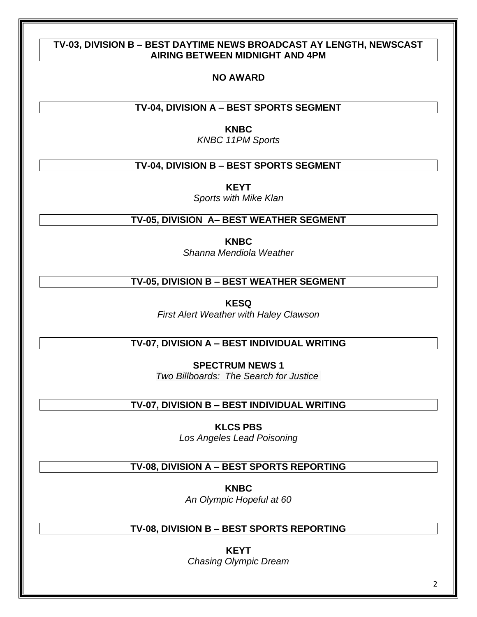#### **TV-03, DIVISION B – BEST DAYTIME NEWS BROADCAST AY LENGTH, NEWSCAST AIRING BETWEEN MIDNIGHT AND 4PM**

#### **NO AWARD**

#### **TV-04, DIVISION A – BEST SPORTS SEGMENT**

**KNBC**

*KNBC 11PM Sports*

#### **TV-04, DIVISION B – BEST SPORTS SEGMENT**

**KEYT**

*Sports with Mike Klan*

#### **TV-05, DIVISION A– BEST WEATHER SEGMENT**

**KNBC**

*Shanna Mendiola Weather*

#### **TV-05, DIVISION B – BEST WEATHER SEGMENT**

**KESQ**

*First Alert Weather with Haley Clawson*

#### **TV-07, DIVISION A – BEST INDIVIDUAL WRITING**

**SPECTRUM NEWS 1** *Two Billboards: The Search for Justice*

#### **TV-07, DIVISION B – BEST INDIVIDUAL WRITING**

**KLCS PBS** *Los Angeles Lead Poisoning*

#### **TV-08, DIVISION A – BEST SPORTS REPORTING**

**KNBC** *An Olympic Hopeful at 60*

#### **TV-08, DIVISION B – BEST SPORTS REPORTING**

**KEYT** *Chasing Olympic Dream*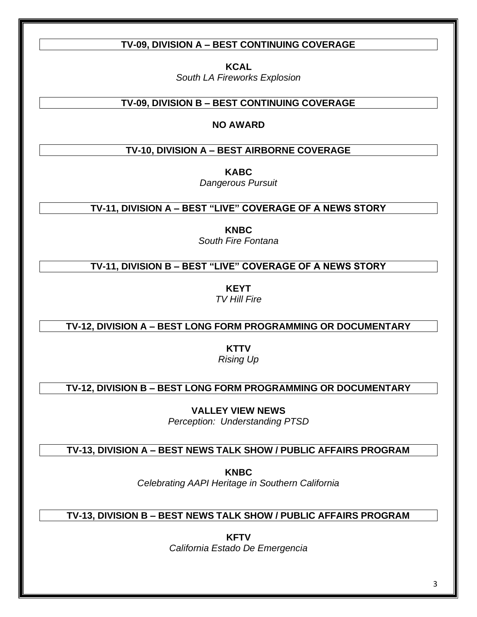#### **TV-09, DIVISION A – BEST CONTINUING COVERAGE**

**KCAL** *South LA Fireworks Explosion*

#### **TV-09, DIVISION B – BEST CONTINUING COVERAGE**

#### **NO AWARD**

#### **TV-10, DIVISION A – BEST AIRBORNE COVERAGE**

**KABC**

*Dangerous Pursuit*

**TV-11, DIVISION A – BEST "LIVE" COVERAGE OF A NEWS STORY**

**KNBC** *South Fire Fontana*

**TV-11, DIVISION B – BEST "LIVE" COVERAGE OF A NEWS STORY**

**KEYT** *TV Hill Fire*

**TV-12, DIVISION A – BEST LONG FORM PROGRAMMING OR DOCUMENTARY**

**KTTV** *Rising Up*

**TV-12, DIVISION B – BEST LONG FORM PROGRAMMING OR DOCUMENTARY**

**VALLEY VIEW NEWS** *Perception: Understanding PTSD*

**TV-13, DIVISION A – BEST NEWS TALK SHOW / PUBLIC AFFAIRS PROGRAM**

**KNBC** *Celebrating AAPI Heritage in Southern California*

**TV-13, DIVISION B – BEST NEWS TALK SHOW / PUBLIC AFFAIRS PROGRAM**

**KFTV** *California Estado De Emergencia*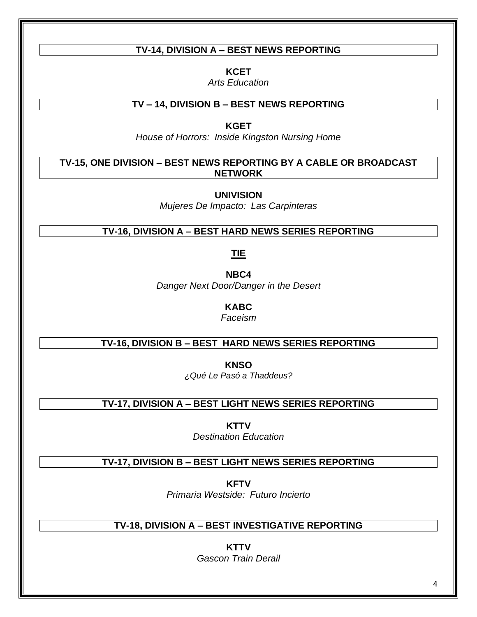#### **TV-14, DIVISION A – BEST NEWS REPORTING**

**KCET**

*Arts Education*

#### **TV – 14, DIVISION B – BEST NEWS REPORTING**

**KGET**

*House of Horrors: Inside Kingston Nursing Home*

**TV-15, ONE DIVISION – BEST NEWS REPORTING BY A CABLE OR BROADCAST NETWORK**

**UNIVISION**

*Mujeres De Impacto: Las Carpinteras*

#### **TV-16, DIVISION A – BEST HARD NEWS SERIES REPORTING**

**TIE**

**NBC4** *Danger Next Door/Danger in the Desert*

**KABC**

*Faceism*

#### **TV-16, DIVISION B – BEST HARD NEWS SERIES REPORTING**

**KNSO** *¿Qué Le Pasó a Thaddeus?*

**TV-17, DIVISION A – BEST LIGHT NEWS SERIES REPORTING**

**KTTV** *Destination Education*

#### **TV-17, DIVISION B – BEST LIGHT NEWS SERIES REPORTING**

**KFTV** *Primaria Westside: Futuro Incierto*

#### **TV-18, DIVISION A – BEST INVESTIGATIVE REPORTING**

**KTTV** *Gascon Train Derail*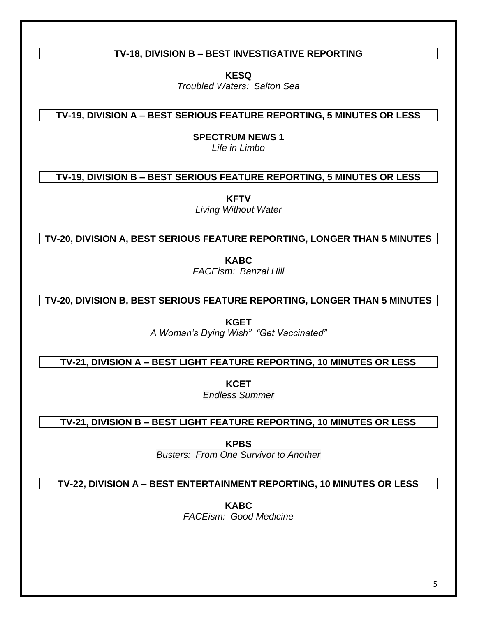#### **TV-18, DIVISION B – BEST INVESTIGATIVE REPORTING**

**KESQ**

*Troubled Waters: Salton Sea*

**TV-19, DIVISION A – BEST SERIOUS FEATURE REPORTING, 5 MINUTES OR LESS**

**SPECTRUM NEWS 1**

*Life in Limbo*

**TV-19, DIVISION B – BEST SERIOUS FEATURE REPORTING, 5 MINUTES OR LESS**

**KFTV**

*Living Without Water*

**TV-20, DIVISION A, BEST SERIOUS FEATURE REPORTING, LONGER THAN 5 MINUTES**

**KABC** *FACEism: Banzai Hill*

**TV-20, DIVISION B, BEST SERIOUS FEATURE REPORTING, LONGER THAN 5 MINUTES**

**KGET** *A Woman's Dying Wish" "Get Vaccinated"*

**TV-21, DIVISION A – BEST LIGHT FEATURE REPORTING, 10 MINUTES OR LESS**

**KCET** *Endless Summer*

**TV-21, DIVISION B – BEST LIGHT FEATURE REPORTING, 10 MINUTES OR LESS**

**KPBS** *Busters: From One Survivor to Another*

**TV-22, DIVISION A – BEST ENTERTAINMENT REPORTING, 10 MINUTES OR LESS**

**KABC** *FACEism: Good Medicine*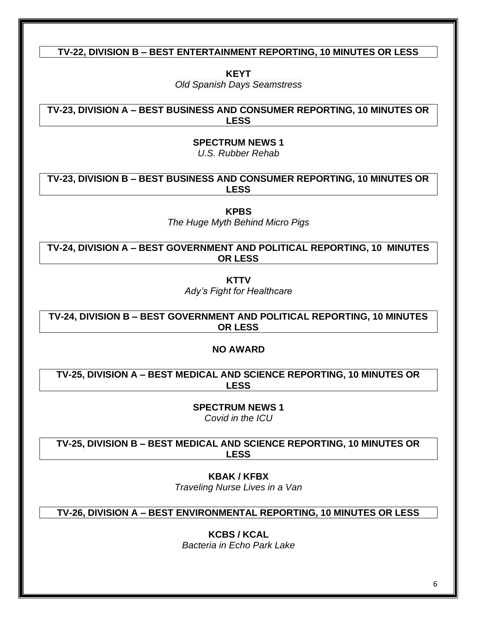#### **TV-22, DIVISION B – BEST ENTERTAINMENT REPORTING, 10 MINUTES OR LESS**

**KEYT**

*Old Spanish Days Seamstress*

**TV-23, DIVISION A – BEST BUSINESS AND CONSUMER REPORTING, 10 MINUTES OR LESS**

> **SPECTRUM NEWS 1** *U.S. Rubber Rehab*

**TV-23, DIVISION B – BEST BUSINESS AND CONSUMER REPORTING, 10 MINUTES OR LESS**

**KPBS**

*The Huge Myth Behind Micro Pigs*

**TV-24, DIVISION A – BEST GOVERNMENT AND POLITICAL REPORTING, 10 MINUTES OR LESS**

**KTTV**

*Ady's Fight for Healthcare*

**TV-24, DIVISION B – BEST GOVERNMENT AND POLITICAL REPORTING, 10 MINUTES OR LESS**

**NO AWARD**

**TV-25, DIVISION A – BEST MEDICAL AND SCIENCE REPORTING, 10 MINUTES OR LESS**

> **SPECTRUM NEWS 1** *Covid in the ICU*

**TV-25, DIVISION B – BEST MEDICAL AND SCIENCE REPORTING, 10 MINUTES OR LESS**

> **KBAK / KFBX** *Traveling Nurse Lives in a Van*

**TV-26, DIVISION A – BEST ENVIRONMENTAL REPORTING, 10 MINUTES OR LESS**

**KCBS / KCAL**

*Bacteria in Echo Park Lake*